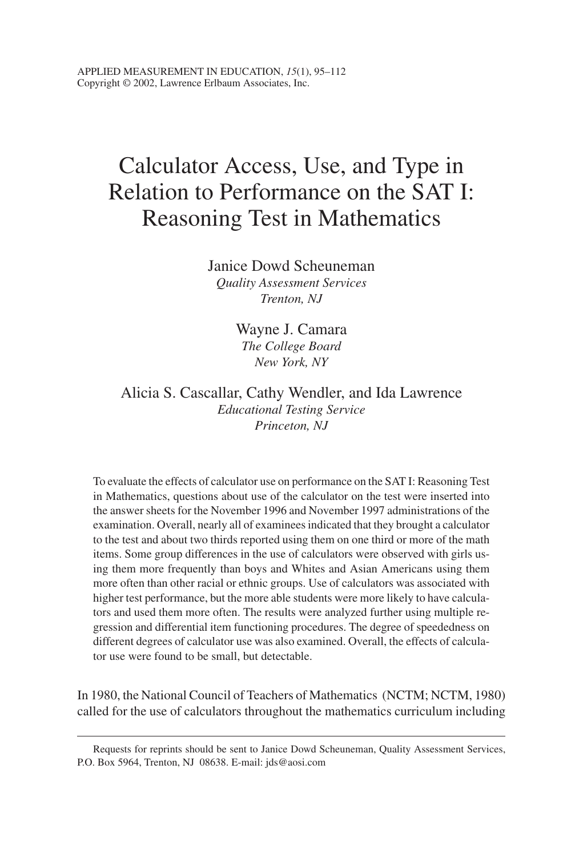APPLIED MEASUREMENT IN EDUCATION, *15*(1), 95–112 Copyright © 2002, Lawrence Erlbaum Associates, Inc.

# Calculator Access, Use, and Type in Relation to Performance on the SAT I: Reasoning Test in Mathematics

Janice Dowd Scheuneman *Quality Assessment Services Trenton, NJ*

> Wayne J. Camara *The College Board New York, NY*

Alicia S. Cascallar, Cathy Wendler, and Ida Lawrence *Educational Testing Service Princeton, NJ*

To evaluate the effects of calculator use on performance on the SAT I: Reasoning Test in Mathematics, questions about use of the calculator on the test were inserted into the answer sheets for the November 1996 and November 1997 administrations of the examination. Overall, nearly all of examinees indicated that they brought a calculator to the test and about two thirds reported using them on one third or more of the math items. Some group differences in the use of calculators were observed with girls using them more frequently than boys and Whites and Asian Americans using them more often than other racial or ethnic groups. Use of calculators was associated with higher test performance, but the more able students were more likely to have calculators and used them more often. The results were analyzed further using multiple regression and differential item functioning procedures. The degree of speededness on different degrees of calculator use was also examined. Overall, the effects of calculator use were found to be small, but detectable.

In 1980, the National Council of Teachers of Mathematics (NCTM; NCTM, 1980) called for the use of calculators throughout the mathematics curriculum including

Requests for reprints should be sent to Janice Dowd Scheuneman, Quality Assessment Services, P.O. Box 5964, Trenton, NJ 08638. E-mail: jds@aosi.com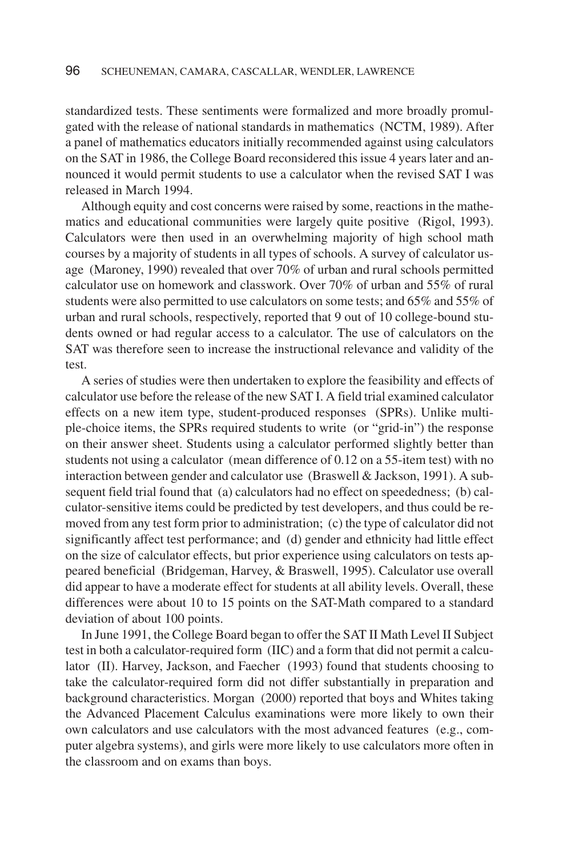standardized tests. These sentiments were formalized and more broadly promulgated with the release of national standards in mathematics (NCTM, 1989). After a panel of mathematics educators initially recommended against using calculators on the SAT in 1986, the College Board reconsidered this issue 4 years later and announced it would permit students to use a calculator when the revised SAT I was released in March 1994.

Although equity and cost concerns were raised by some, reactions in the mathematics and educational communities were largely quite positive (Rigol, 1993). Calculators were then used in an overwhelming majority of high school math courses by a majority of students in all types of schools. A survey of calculator usage (Maroney, 1990) revealed that over 70% of urban and rural schools permitted calculator use on homework and classwork. Over 70% of urban and 55% of rural students were also permitted to use calculators on some tests; and 65% and 55% of urban and rural schools, respectively, reported that 9 out of 10 college-bound students owned or had regular access to a calculator. The use of calculators on the SAT was therefore seen to increase the instructional relevance and validity of the test.

A series of studies were then undertaken to explore the feasibility and effects of calculator use before the release of the new SAT I. A field trial examined calculator effects on a new item type, student-produced responses (SPRs). Unlike multiple-choice items, the SPRs required students to write (or "grid-in") the response on their answer sheet. Students using a calculator performed slightly better than students not using a calculator (mean difference of 0.12 on a 55-item test) with no interaction between gender and calculator use (Braswell & Jackson, 1991). A subsequent field trial found that (a) calculators had no effect on speededness; (b) calculator-sensitive items could be predicted by test developers, and thus could be removed from any test form prior to administration; (c) the type of calculator did not significantly affect test performance; and (d) gender and ethnicity had little effect on the size of calculator effects, but prior experience using calculators on tests appeared beneficial (Bridgeman, Harvey, & Braswell, 1995). Calculator use overall did appear to have a moderate effect for students at all ability levels. Overall, these differences were about 10 to 15 points on the SAT-Math compared to a standard deviation of about 100 points.

In June 1991, the College Board began to offer the SAT II Math Level II Subject test in both a calculator-required form (IIC) and a form that did not permit a calculator (II). Harvey, Jackson, and Faecher (1993) found that students choosing to take the calculator-required form did not differ substantially in preparation and background characteristics. Morgan (2000) reported that boys and Whites taking the Advanced Placement Calculus examinations were more likely to own their own calculators and use calculators with the most advanced features (e.g., computer algebra systems), and girls were more likely to use calculators more often in the classroom and on exams than boys.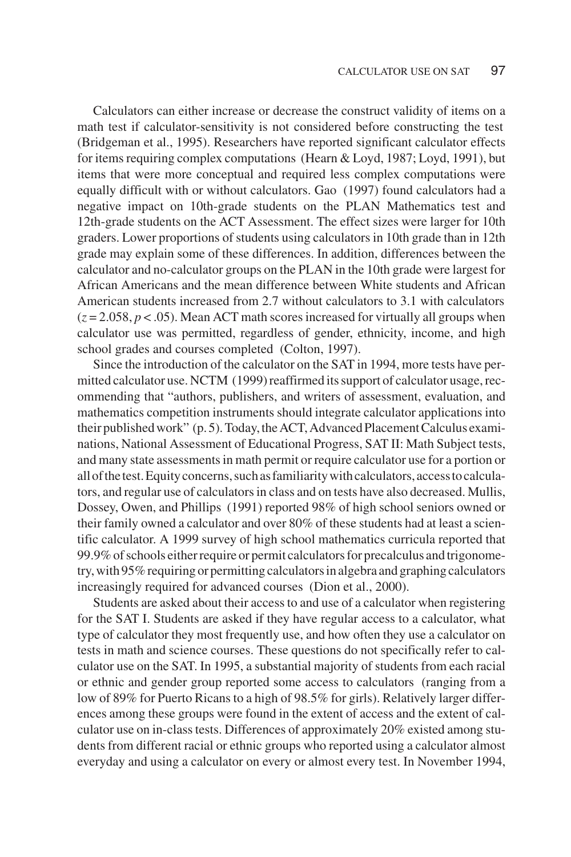Calculators can either increase or decrease the construct validity of items on a math test if calculator-sensitivity is not considered before constructing the test (Bridgeman et al., 1995). Researchers have reported significant calculator effects for items requiring complex computations (Hearn & Loyd, 1987; Loyd, 1991), but items that were more conceptual and required less complex computations were equally difficult with or without calculators. Gao (1997) found calculators had a negative impact on 10th-grade students on the PLAN Mathematics test and 12th-grade students on the ACT Assessment. The effect sizes were larger for 10th graders. Lower proportions of students using calculators in 10th grade than in 12th grade may explain some of these differences. In addition, differences between the calculator and no-calculator groups on the PLAN in the 10th grade were largest for African Americans and the mean difference between White students and African American students increased from 2.7 without calculators to 3.1 with calculators  $(z = 2.058, p < .05)$ . Mean ACT math scores increased for virtually all groups when calculator use was permitted, regardless of gender, ethnicity, income, and high school grades and courses completed (Colton, 1997).

Since the introduction of the calculator on the SAT in 1994, more tests have permitted calculator use. NCTM (1999) reaffirmed its support of calculator usage, recommending that "authors, publishers, and writers of assessment, evaluation, and mathematics competition instruments should integrate calculator applications into their published work" (p. 5). Today, the ACT, Advanced Placement Calculus examinations, National Assessment of Educational Progress, SAT II: Math Subject tests, and many state assessments in math permit or require calculator use for a portion or all of the test. Equity concerns, such as familiarity with calculators, access to calculators, and regular use of calculators in class and on tests have also decreased. Mullis, Dossey, Owen, and Phillips (1991) reported 98% of high school seniors owned or their family owned a calculator and over 80% of these students had at least a scientific calculator. A 1999 survey of high school mathematics curricula reported that 99.9% of schools either require or permit calculators for precalculus and trigonometry, with 95% requiring or permitting calculators in algebra and graphing calculators increasingly required for advanced courses (Dion et al., 2000).

Students are asked about their access to and use of a calculator when registering for the SAT I. Students are asked if they have regular access to a calculator, what type of calculator they most frequently use, and how often they use a calculator on tests in math and science courses. These questions do not specifically refer to calculator use on the SAT. In 1995, a substantial majority of students from each racial or ethnic and gender group reported some access to calculators (ranging from a low of 89% for Puerto Ricans to a high of 98.5% for girls). Relatively larger differences among these groups were found in the extent of access and the extent of calculator use on in-class tests. Differences of approximately 20% existed among students from different racial or ethnic groups who reported using a calculator almost everyday and using a calculator on every or almost every test. In November 1994,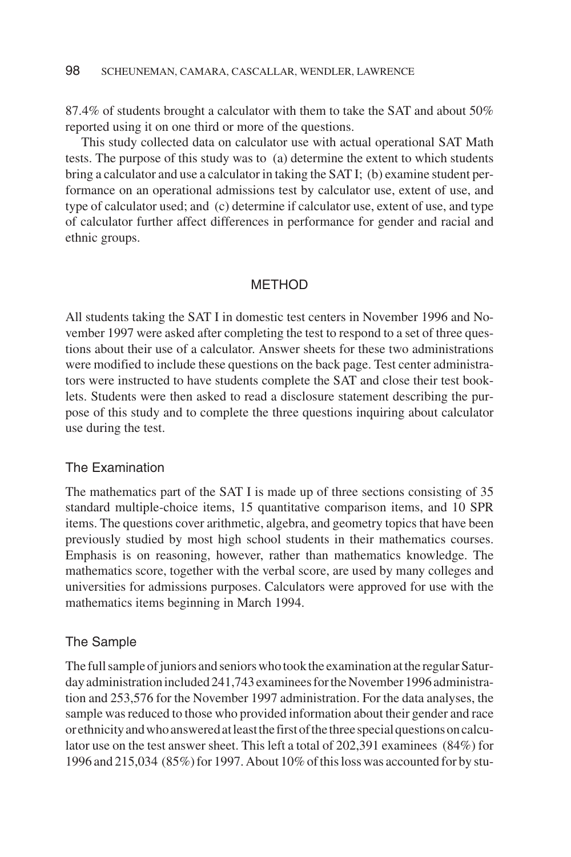87.4% of students brought a calculator with them to take the SAT and about 50% reported using it on one third or more of the questions.

This study collected data on calculator use with actual operational SAT Math tests. The purpose of this study was to (a) determine the extent to which students bring a calculator and use a calculator in taking the SAT I; (b) examine student performance on an operational admissions test by calculator use, extent of use, and type of calculator used; and (c) determine if calculator use, extent of use, and type of calculator further affect differences in performance for gender and racial and ethnic groups.

#### METHOD

All students taking the SAT I in domestic test centers in November 1996 and November 1997 were asked after completing the test to respond to a set of three questions about their use of a calculator. Answer sheets for these two administrations were modified to include these questions on the back page. Test center administrators were instructed to have students complete the SAT and close their test booklets. Students were then asked to read a disclosure statement describing the purpose of this study and to complete the three questions inquiring about calculator use during the test.

## The Examination

The mathematics part of the SAT I is made up of three sections consisting of 35 standard multiple-choice items, 15 quantitative comparison items, and 10 SPR items. The questions cover arithmetic, algebra, and geometry topics that have been previously studied by most high school students in their mathematics courses. Emphasis is on reasoning, however, rather than mathematics knowledge. The mathematics score, together with the verbal score, are used by many colleges and universities for admissions purposes. Calculators were approved for use with the mathematics items beginning in March 1994.

## The Sample

The full sample of juniors and seniors who took the examination at the regular Saturday administration included 241,743 examinees for the November 1996 administration and 253,576 for the November 1997 administration. For the data analyses, the sample was reduced to those who provided information about their gender and race orethnicityandwhoansweredatleastthefirstofthethreespecialquestionsoncalculator use on the test answer sheet. This left a total of 202,391 examinees (84%) for 1996 and 215,034 (85%) for 1997. About 10% of this loss was accounted for by stu-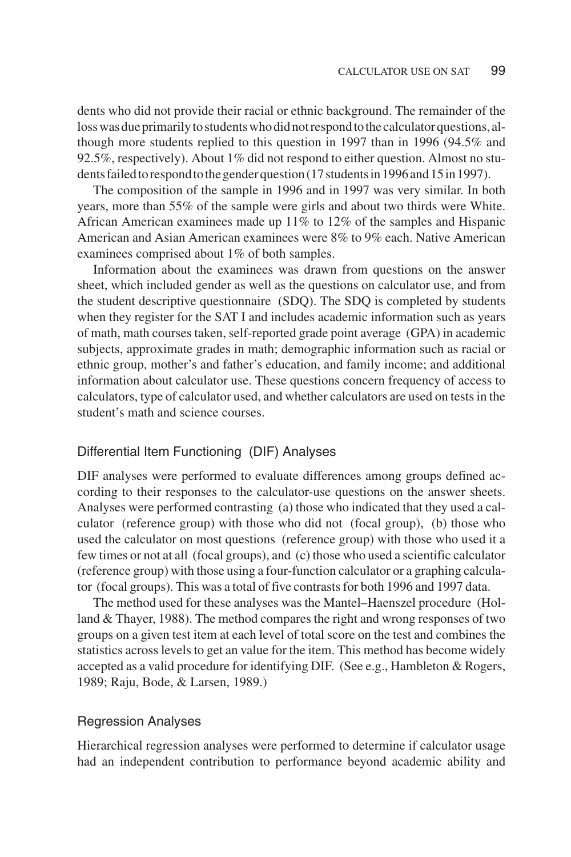dents who did not provide their racial or ethnic background. The remainder of the losswasdueprimarilytostudentswhodidnotrespondtothecalculatorquestions,although more students replied to this question in 1997 than in 1996 (94.5% and 92.5%, respectively). About 1% did not respond to either question. Almost no students failed to respond to the gender question (17 students in 1996 and 15 in 1997).

The composition of the sample in 1996 and in 1997 was very similar. In both years, more than 55% of the sample were girls and about two thirds were White. African American examinees made up 11% to 12% of the samples and Hispanic American and Asian American examinees were 8% to 9% each. Native American examinees comprised about 1% of both samples.

Information about the examinees was drawn from questions on the answer sheet, which included gender as well as the questions on calculator use, and from the student descriptive questionnaire (SDQ). The SDQ is completed by students when they register for the SAT I and includes academic information such as years of math, math courses taken, self-reported grade point average (GPA) in academic subjects, approximate grades in math; demographic information such as racial or ethnic group, mother's and father's education, and family income; and additional information about calculator use. These questions concern frequency of access to calculators, type of calculator used, and whether calculators are used on tests in the student's math and science courses.

#### Differential Item Functioning (DIF) Analyses

DIF analyses were performed to evaluate differences among groups defined according to their responses to the calculator-use questions on the answer sheets. Analyses were performed contrasting (a) those who indicated that they used a calculator (reference group) with those who did not (focal group), (b) those who used the calculator on most questions (reference group) with those who used it a few times or not at all (focal groups), and (c) those who used a scientific calculator (reference group) with those using a four-function calculator or a graphing calculator (focal groups). This was a total of five contrasts for both 1996 and 1997 data.

The method used for these analyses was the Mantel–Haenszel procedure (Holland & Thayer, 1988). The method compares the right and wrong responses of two groups on a given test item at each level of total score on the test and combines the statistics across levels to get an value for the item. This method has become widely accepted as a valid procedure for identifying DIF. (See e.g., Hambleton & Rogers, 1989; Raju, Bode, & Larsen, 1989.)

### Regression Analyses

Hierarchical regression analyses were performed to determine if calculator usage had an independent contribution to performance beyond academic ability and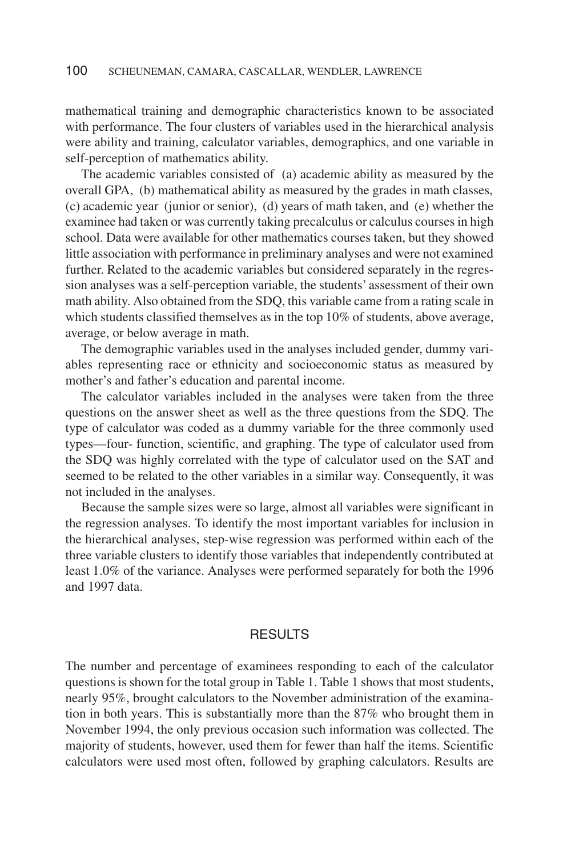mathematical training and demographic characteristics known to be associated with performance. The four clusters of variables used in the hierarchical analysis were ability and training, calculator variables, demographics, and one variable in self-perception of mathematics ability.

The academic variables consisted of (a) academic ability as measured by the overall GPA, (b) mathematical ability as measured by the grades in math classes, (c) academic year (junior or senior), (d) years of math taken, and (e) whether the examinee had taken or was currently taking precalculus or calculus courses in high school. Data were available for other mathematics courses taken, but they showed little association with performance in preliminary analyses and were not examined further. Related to the academic variables but considered separately in the regression analyses was a self-perception variable, the students' assessment of their own math ability. Also obtained from the SDQ, this variable came from a rating scale in which students classified themselves as in the top 10% of students, above average, average, or below average in math.

The demographic variables used in the analyses included gender, dummy variables representing race or ethnicity and socioeconomic status as measured by mother's and father's education and parental income.

The calculator variables included in the analyses were taken from the three questions on the answer sheet as well as the three questions from the SDQ. The type of calculator was coded as a dummy variable for the three commonly used types—four- function, scientific, and graphing. The type of calculator used from the SDQ was highly correlated with the type of calculator used on the SAT and seemed to be related to the other variables in a similar way. Consequently, it was not included in the analyses.

Because the sample sizes were so large, almost all variables were significant in the regression analyses. To identify the most important variables for inclusion in the hierarchical analyses, step-wise regression was performed within each of the three variable clusters to identify those variables that independently contributed at least 1.0% of the variance. Analyses were performed separately for both the 1996 and 1997 data.

## RESULTS

The number and percentage of examinees responding to each of the calculator questions is shown for the total group in Table 1. Table 1 shows that most students, nearly 95%, brought calculators to the November administration of the examination in both years. This is substantially more than the 87% who brought them in November 1994, the only previous occasion such information was collected. The majority of students, however, used them for fewer than half the items. Scientific calculators were used most often, followed by graphing calculators. Results are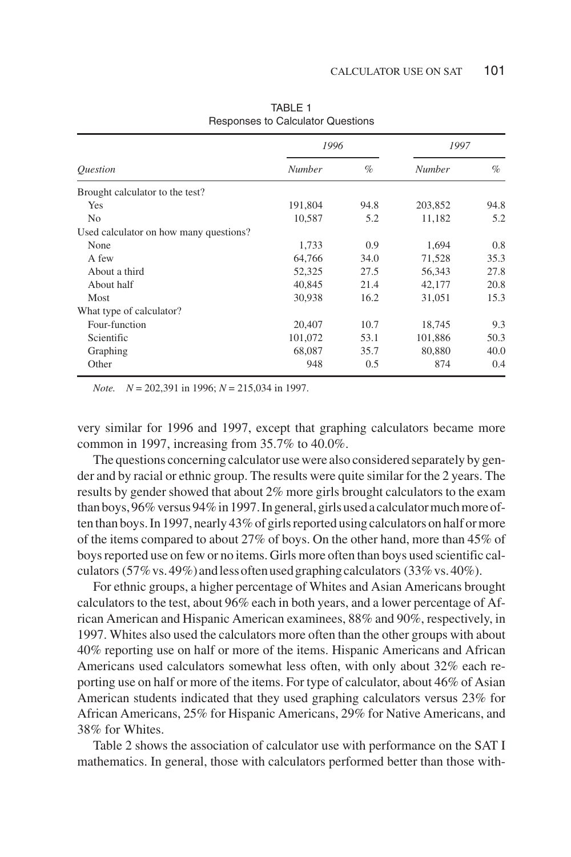|                                        | 1996    |      | 1997          |      |
|----------------------------------------|---------|------|---------------|------|
| <i><u><b>Ouestion</b></u></i>          | Number  | $\%$ | <b>Number</b> | $\%$ |
| Brought calculator to the test?        |         |      |               |      |
| Yes                                    | 191,804 | 94.8 | 203,852       | 94.8 |
| N <sub>o</sub>                         | 10,587  | 5.2  | 11,182        | 5.2  |
| Used calculator on how many questions? |         |      |               |      |
| None                                   | 1,733   | 0.9  | 1,694         | 0.8  |
| A few                                  | 64,766  | 34.0 | 71,528        | 35.3 |
| About a third                          | 52,325  | 27.5 | 56,343        | 27.8 |
| About half                             | 40,845  | 21.4 | 42,177        | 20.8 |
| Most                                   | 30,938  | 16.2 | 31,051        | 15.3 |
| What type of calculator?               |         |      |               |      |
| Four-function                          | 20,407  | 10.7 | 18,745        | 9.3  |
| Scientific                             | 101,072 | 53.1 | 101,886       | 50.3 |
| Graphing                               | 68,087  | 35.7 | 80,880        | 40.0 |
| Other                                  | 948     | 0.5  | 874           | 0.4  |

TABLE 1 Responses to Calculator Questions

*Note. N* = 202,391 in 1996; *N* = 215,034 in 1997.

very similar for 1996 and 1997, except that graphing calculators became more common in 1997, increasing from 35.7% to 40.0%.

The questions concerning calculator use were also considered separately by gender and by racial or ethnic group. The results were quite similar for the 2 years. The results by gender showed that about 2% more girls brought calculators to the exam than boys, 96% versus 94% in 1997. In general, girls used a calculator much more often than boys. In 1997, nearly 43% of girls reported using calculators on half or more of the items compared to about 27% of boys. On the other hand, more than 45% of boys reported use on few or no items. Girls more often than boys used scientific calculators (57% vs. 49%) and less often used graphing calculators (33% vs. 40%).

For ethnic groups, a higher percentage of Whites and Asian Americans brought calculators to the test, about 96% each in both years, and a lower percentage of African American and Hispanic American examinees, 88% and 90%, respectively, in 1997. Whites also used the calculators more often than the other groups with about 40% reporting use on half or more of the items. Hispanic Americans and African Americans used calculators somewhat less often, with only about 32% each reporting use on half or more of the items. For type of calculator, about 46% of Asian American students indicated that they used graphing calculators versus 23% for African Americans, 25% for Hispanic Americans, 29% for Native Americans, and 38% for Whites.

Table 2 shows the association of calculator use with performance on the SAT I mathematics. In general, those with calculators performed better than those with-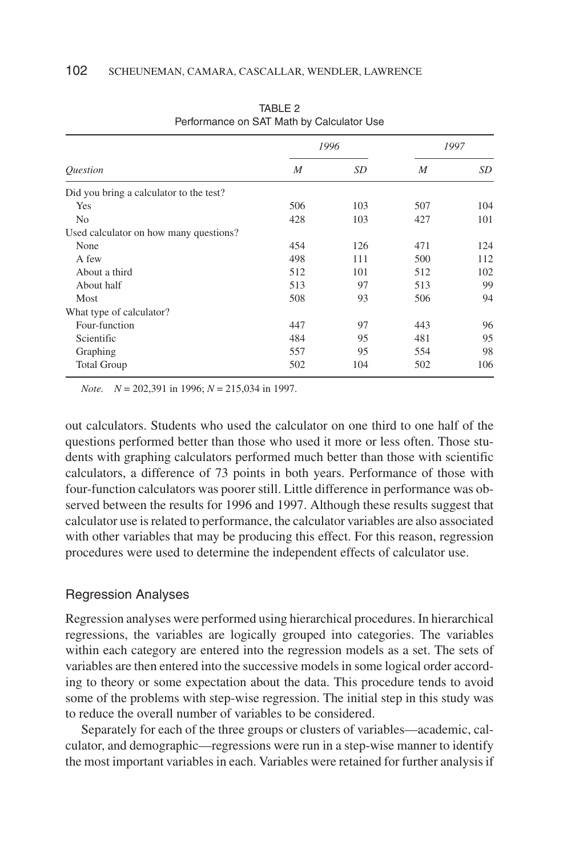|                                         | 1996 |     | 1997 |     |
|-----------------------------------------|------|-----|------|-----|
| <i><u><b>Ouestion</b></u></i>           | M    | SD  | M    | SD  |
| Did you bring a calculator to the test? |      |     |      |     |
| Yes                                     | 506  | 103 | 507  | 104 |
| N <sub>o</sub>                          | 428  | 103 | 427  | 101 |
| Used calculator on how many questions?  |      |     |      |     |
| None                                    | 454  | 126 | 471  | 124 |
| A few                                   | 498  | 111 | 500  | 112 |
| About a third                           | 512  | 101 | 512  | 102 |
| About half                              | 513  | 97  | 513  | 99  |
| Most                                    | 508  | 93  | 506  | 94  |
| What type of calculator?                |      |     |      |     |
| Four-function                           | 447  | 97  | 443  | 96  |
| Scientific                              | 484  | 95  | 481  | 95  |
| Graphing                                | 557  | 95  | 554  | 98  |
| <b>Total Group</b>                      | 502  | 104 | 502  | 106 |

TABLE 2 Performance on SAT Math by Calculator Use

*Note. N* = 202,391 in 1996; *N* = 215,034 in 1997.

out calculators. Students who used the calculator on one third to one half of the questions performed better than those who used it more or less often. Those students with graphing calculators performed much better than those with scientific calculators, a difference of 73 points in both years. Performance of those with four-function calculators was poorer still. Little difference in performance was observed between the results for 1996 and 1997. Although these results suggest that calculator use is related to performance, the calculator variables are also associated with other variables that may be producing this effect. For this reason, regression procedures were used to determine the independent effects of calculator use.

## Regression Analyses

Regression analyses were performed using hierarchical procedures. In hierarchical regressions, the variables are logically grouped into categories. The variables within each category are entered into the regression models as a set. The sets of variables are then entered into the successive models in some logical order according to theory or some expectation about the data. This procedure tends to avoid some of the problems with step-wise regression. The initial step in this study was to reduce the overall number of variables to be considered.

Separately for each of the three groups or clusters of variables—academic, calculator, and demographic—regressions were run in a step-wise manner to identify the most important variables in each. Variables were retained for further analysis if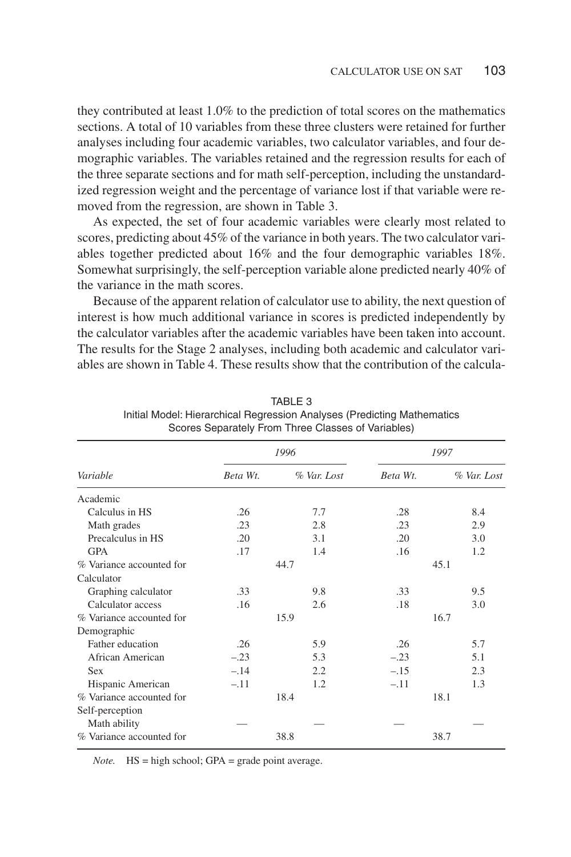they contributed at least 1.0% to the prediction of total scores on the mathematics sections. A total of 10 variables from these three clusters were retained for further analyses including four academic variables, two calculator variables, and four demographic variables. The variables retained and the regression results for each of the three separate sections and for math self-perception, including the unstandardized regression weight and the percentage of variance lost if that variable were removed from the regression, are shown in Table 3.

As expected, the set of four academic variables were clearly most related to scores, predicting about 45% of the variance in both years. The two calculator variables together predicted about 16% and the four demographic variables 18%. Somewhat surprisingly, the self-perception variable alone predicted nearly 40% of the variance in the math scores.

Because of the apparent relation of calculator use to ability, the next question of interest is how much additional variance in scores is predicted independently by the calculator variables after the academic variables have been taken into account. The results for the Stage 2 analyses, including both academic and calculator variables are shown in Table 4. These results show that the contribution of the calcula-

| Variable                 |          | 1996        | 1997     |             |  |
|--------------------------|----------|-------------|----------|-------------|--|
|                          | Beta Wt. | % Var. Lost | Beta Wt. | % Var. Lost |  |
| Academic                 |          |             |          |             |  |
| Calculus in HS           | .26      | 7.7         | .28      | 8.4         |  |
| Math grades              | .23      | 2.8         | .23      | 2.9         |  |
| Precalculus in HS        | .20      | 3.1         | .20      | 3.0         |  |
| <b>GPA</b>               | .17      | 1.4         | .16      | 1.2         |  |
| % Variance accounted for |          | 44.7        |          | 45.1        |  |
| Calculator               |          |             |          |             |  |
| Graphing calculator      | .33      | 9.8         | .33      | 9.5         |  |
| Calculator access        | .16      | 2.6         | .18      | 3.0         |  |
| % Variance accounted for |          | 15.9        |          | 16.7        |  |
| Demographic              |          |             |          |             |  |
| Father education         | .26      | 5.9         | .26      | 5.7         |  |
| African American         | $-.23$   | 5.3         | $-.23$   | 5.1         |  |
| <b>Sex</b>               | $-.14$   | 2.2         | $-.15$   | 2.3         |  |
| Hispanic American        | $-.11$   | 1.2         | $-.11$   | 1.3         |  |
| % Variance accounted for |          | 18.4        |          | 18.1        |  |
| Self-perception          |          |             |          |             |  |
| Math ability             |          |             |          |             |  |
| % Variance accounted for |          | 38.8        |          | 38.7        |  |

TABLE 3 Initial Model: Hierarchical Regression Analyses (Predicting Mathematics Scores Separately From Three Classes of Variables)

*Note.*  $HS = high school$ ;  $GPA = grade point average$ .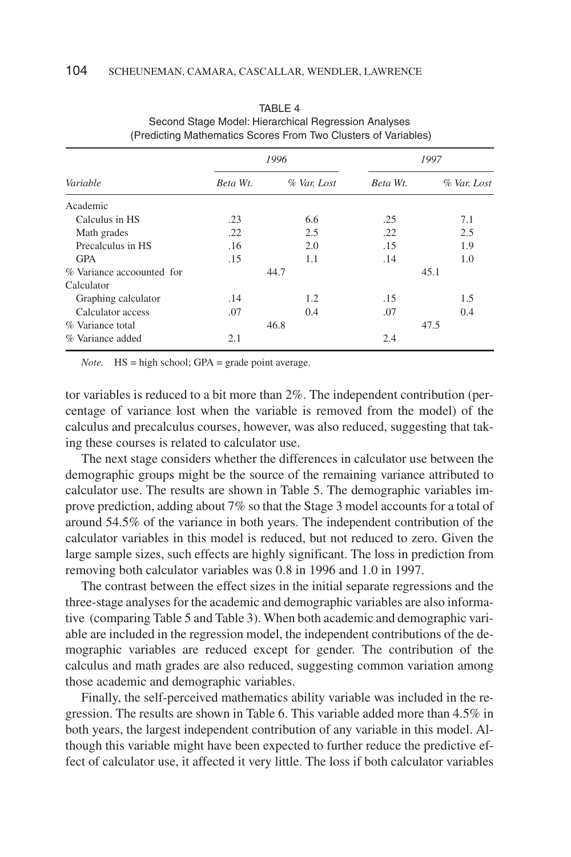|                           |          | 1996         | 1997     |             |  |
|---------------------------|----------|--------------|----------|-------------|--|
| Variable                  | Beta Wt. | $% Var$ Lost | Beta Wt. | % Var. Lost |  |
| Academic                  |          |              |          |             |  |
| Calculus in HS            | .23      | 6.6          | .25      | 7.1         |  |
| Math grades               | .22      | 2.5          | .22      | 2.5         |  |
| Precalculus in HS         | .16      | 2.0          | .15      | 1.9         |  |
| <b>GPA</b>                | .15      | 1.1          | .14      | 1.0         |  |
| % Variance accoounted for |          | 44.7         |          | 45.1        |  |
| Calculator                |          |              |          |             |  |
| Graphing calculator       | .14      | 1.2          | .15      | 1.5         |  |
| Calculator access         | .07      | 0.4          | .07      | 0.4         |  |
| % Variance total          |          | 46.8         |          | 47.5        |  |
| % Variance added          | 2.1      |              | 2.4      |             |  |

| TABLE 4                                                        |  |
|----------------------------------------------------------------|--|
| Second Stage Model: Hierarchical Regression Analyses           |  |
| (Predicting Mathematics Scores From Two Clusters of Variables) |  |

*Note.* HS = high school; GPA = grade point average.

tor variables is reduced to a bit more than 2%. The independent contribution (percentage of variance lost when the variable is removed from the model) of the calculus and precalculus courses, however, was also reduced, suggesting that taking these courses is related to calculator use.

The next stage considers whether the differences in calculator use between the demographic groups might be the source of the remaining variance attributed to calculator use. The results are shown in Table 5. The demographic variables improve prediction, adding about 7% so that the Stage 3 model accounts for a total of around 54.5% of the variance in both years. The independent contribution of the calculator variables in this model is reduced, but not reduced to zero. Given the large sample sizes, such effects are highly significant. The loss in prediction from removing both calculator variables was 0.8 in 1996 and 1.0 in 1997.

The contrast between the effect sizes in the initial separate regressions and the three-stage analyses for the academic and demographic variables are also informative (comparing Table 5 and Table 3). When both academic and demographic variable are included in the regression model, the independent contributions of the demographic variables are reduced except for gender. The contribution of the calculus and math grades are also reduced, suggesting common variation among those academic and demographic variables.

Finally, the self-perceived mathematics ability variable was included in the regression. The results are shown in Table 6. This variable added more than 4.5% in both years, the largest independent contribution of any variable in this model. Although this variable might have been expected to further reduce the predictive effect of calculator use, it affected it very little. The loss if both calculator variables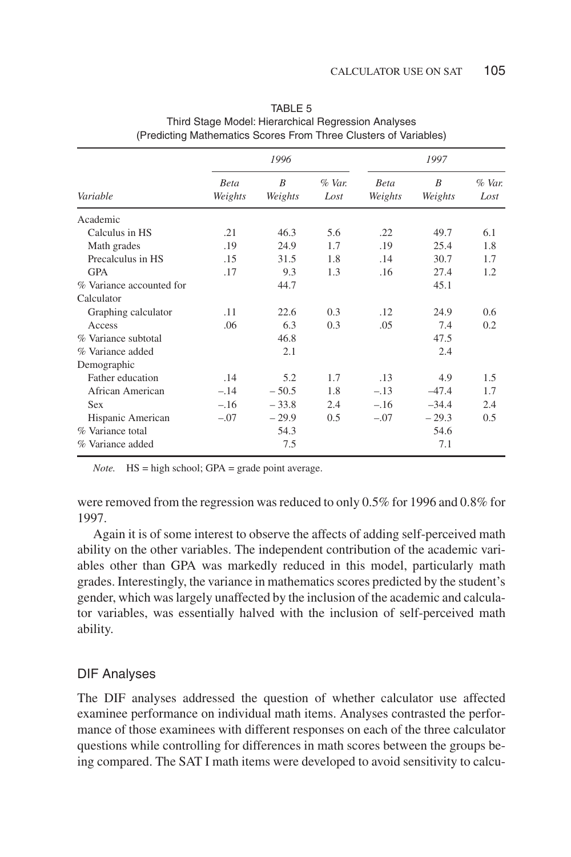|                          |                        | 1996         |               |                        | 1997         |               |  |
|--------------------------|------------------------|--------------|---------------|------------------------|--------------|---------------|--|
| Variable                 | <b>Beta</b><br>Weights | B<br>Weights | % Var<br>Lost | <b>Beta</b><br>Weights | B<br>Weights | % Var<br>Lost |  |
| Academic                 |                        |              |               |                        |              |               |  |
| Calculus in HS           | .21                    | 46.3         | 5.6           | .22                    | 49.7         | 6.1           |  |
| Math grades              | .19                    | 24.9         | 1.7           | .19                    | 25.4         | 1.8           |  |
| Precalculus in HS        | .15                    | 31.5         | 1.8           | .14                    | 30.7         | 1.7           |  |
| <b>GPA</b>               | .17                    | 9.3          | 1.3           | .16                    | 27.4         | 1.2           |  |
| % Variance accounted for |                        | 44.7         |               |                        | 45.1         |               |  |
| Calculator               |                        |              |               |                        |              |               |  |
| Graphing calculator      | .11                    | 22.6         | 0.3           | .12                    | 24.9         | 0.6           |  |
| Access                   | .06                    | 6.3          | 0.3           | .05                    | 7.4          | 0.2           |  |
| % Variance subtotal      |                        | 46.8         |               |                        | 47.5         |               |  |
| % Variance added         |                        | 2.1          |               |                        | 2.4          |               |  |
| Demographic              |                        |              |               |                        |              |               |  |
| Father education         | .14                    | 5.2          | 1.7           | .13                    | 4.9          | 1.5           |  |
| African American         | $-.14$                 | $-50.5$      | 1.8           | $-.13$                 | $-47.4$      | 1.7           |  |
| <b>Sex</b>               | $-.16$                 | $-33.8$      | 2.4           | $-.16$                 | $-34.4$      | 2.4           |  |
| Hispanic American        | $-.07$                 | $-29.9$      | 0.5           | $-.07$                 | $-29.3$      | 0.5           |  |
| % Variance total         |                        | 54.3         |               |                        | 54.6         |               |  |
| % Variance added         |                        | 7.5          |               |                        | 7.1          |               |  |

#### TABLE 5 Third Stage Model: Hierarchical Regression Analyses (Predicting Mathematics Scores From Three Clusters of Variables)

*Note.*  $HS = high school$ ;  $GPA = grade point average$ .

were removed from the regression was reduced to only 0.5% for 1996 and 0.8% for 1997.

Again it is of some interest to observe the affects of adding self-perceived math ability on the other variables. The independent contribution of the academic variables other than GPA was markedly reduced in this model, particularly math grades. Interestingly, the variance in mathematics scores predicted by the student's gender, which was largely unaffected by the inclusion of the academic and calculator variables, was essentially halved with the inclusion of self-perceived math ability.

## DIF Analyses

The DIF analyses addressed the question of whether calculator use affected examinee performance on individual math items. Analyses contrasted the performance of those examinees with different responses on each of the three calculator questions while controlling for differences in math scores between the groups being compared. The SAT I math items were developed to avoid sensitivity to calcu-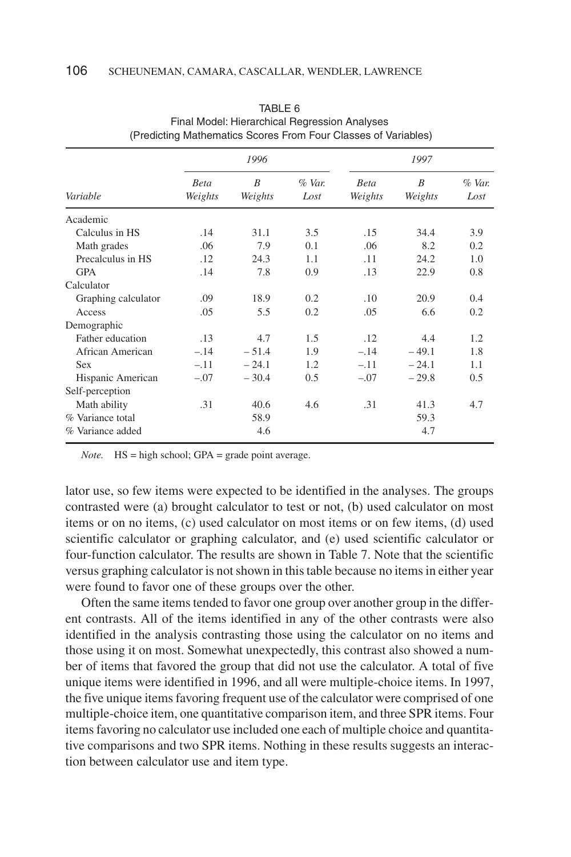|                     |                        | 1996         |               | 1997                   |              |                   |
|---------------------|------------------------|--------------|---------------|------------------------|--------------|-------------------|
| Variable            | <b>Beta</b><br>Weights | B<br>Weights | % Var<br>Lost | <b>Beta</b><br>Weights | B<br>Weights | $% Var$ .<br>Lost |
| Academic            |                        |              |               |                        |              |                   |
| Calculus in HS      | .14                    | 31.1         | 3.5           | .15                    | 34.4         | 3.9               |
| Math grades         | .06                    | 7.9          | 0.1           | .06                    | 8.2          | 0.2               |
| Precalculus in HS   | .12                    | 24.3         | 1.1           | .11                    | 24.2         | 1.0               |
| <b>GPA</b>          | .14                    | 7.8          | 0.9           | .13                    | 22.9         | 0.8               |
| Calculator          |                        |              |               |                        |              |                   |
| Graphing calculator | .09                    | 18.9         | 0.2           | .10                    | 20.9         | 0.4               |
| Access              | .05                    | 5.5          | 0.2           | .05                    | 6.6          | 0.2               |
| Demographic         |                        |              |               |                        |              |                   |
| Father education    | .13                    | 4.7          | 1.5           | .12                    | 4.4          | 1.2               |
| African American    | $-.14$                 | $-51.4$      | 1.9           | $-.14$                 | $-49.1$      | 1.8               |
| <b>Sex</b>          | $-.11$                 | $-24.1$      | 1.2           | $-.11$                 | $-24.1$      | 1.1               |
| Hispanic American   | $-.07$                 | $-30.4$      | 0.5           | $-.07$                 | $-29.8$      | 0.5               |
| Self-perception     |                        |              |               |                        |              |                   |
| Math ability        | .31                    | 40.6         | 4.6           | .31                    | 41.3         | 4.7               |
| % Variance total    |                        | 58.9         |               |                        | 59.3         |                   |
| % Variance added    |                        | 4.6          |               |                        | 4.7          |                   |

| TABLE 6                                                        |
|----------------------------------------------------------------|
| Final Model: Hierarchical Regression Analyses                  |
| (Predicting Mathematics Scores From Four Classes of Variables) |

*Note.*  $HS = high school$ ;  $GPA = grade point average$ .

lator use, so few items were expected to be identified in the analyses. The groups contrasted were (a) brought calculator to test or not, (b) used calculator on most items or on no items, (c) used calculator on most items or on few items, (d) used scientific calculator or graphing calculator, and (e) used scientific calculator or four-function calculator. The results are shown in Table 7. Note that the scientific versus graphing calculator is not shown in this table because no items in either year were found to favor one of these groups over the other.

Often the same items tended to favor one group over another group in the different contrasts. All of the items identified in any of the other contrasts were also identified in the analysis contrasting those using the calculator on no items and those using it on most. Somewhat unexpectedly, this contrast also showed a number of items that favored the group that did not use the calculator. A total of five unique items were identified in 1996, and all were multiple-choice items. In 1997, the five unique items favoring frequent use of the calculator were comprised of one multiple-choice item, one quantitative comparison item, and three SPR items. Four items favoring no calculator use included one each of multiple choice and quantitative comparisons and two SPR items. Nothing in these results suggests an interaction between calculator use and item type.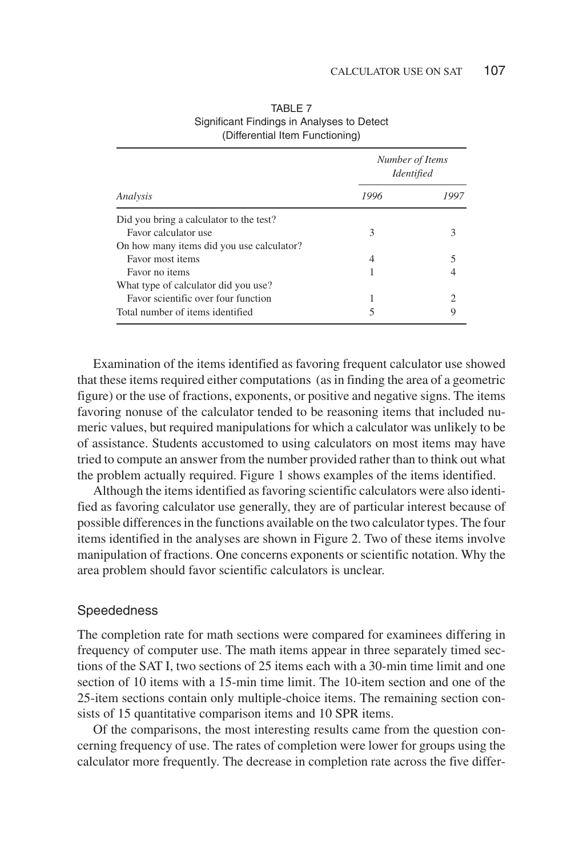|                                           | Number of Items<br><i>Identified</i> |      |
|-------------------------------------------|--------------------------------------|------|
| Analysis                                  | 1996                                 | 7997 |
| Did you bring a calculator to the test?   |                                      |      |
| Favor calculator use                      | 3                                    |      |
| On how many items did you use calculator? |                                      |      |
| Favor most items                          | 4                                    |      |
| Favor no items                            |                                      |      |
| What type of calculator did you use?      |                                      |      |
| Favor scientific over four function       |                                      |      |
| Total number of items identified          |                                      |      |

#### TABLE 7 Significant Findings in Analyses to Detect (Differential Item Functioning)

Examination of the items identified as favoring frequent calculator use showed that these items required either computations (as in finding the area of a geometric figure) or the use of fractions, exponents, or positive and negative signs. The items favoring nonuse of the calculator tended to be reasoning items that included numeric values, but required manipulations for which a calculator was unlikely to be of assistance. Students accustomed to using calculators on most items may have tried to compute an answer from the number provided rather than to think out what the problem actually required. Figure 1 shows examples of the items identified.

Although the items identified as favoring scientific calculators were also identified as favoring calculator use generally, they are of particular interest because of possible differences in the functions available on the two calculator types. The four items identified in the analyses are shown in Figure 2. Two of these items involve manipulation of fractions. One concerns exponents or scientific notation. Why the area problem should favor scientific calculators is unclear.

#### Speededness

The completion rate for math sections were compared for examinees differing in frequency of computer use. The math items appear in three separately timed sections of the SAT I, two sections of 25 items each with a 30-min time limit and one section of 10 items with a 15-min time limit. The 10-item section and one of the 25-item sections contain only multiple-choice items. The remaining section consists of 15 quantitative comparison items and 10 SPR items.

Of the comparisons, the most interesting results came from the question concerning frequency of use. The rates of completion were lower for groups using the calculator more frequently. The decrease in completion rate across the five differ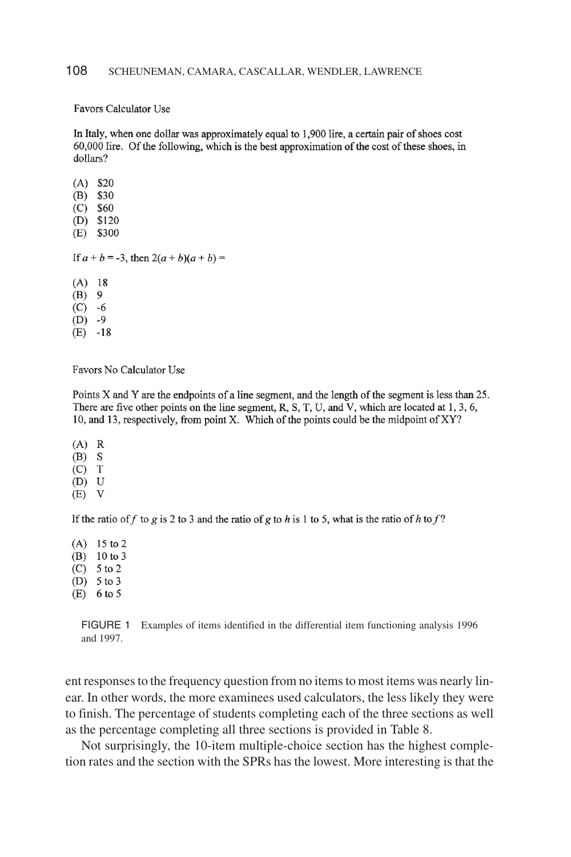**Favors Calculator Use** 

In Italy, when one dollar was approximately equal to 1,900 lire, a certain pair of shoes cost 60,000 lire. Of the following, which is the best approximation of the cost of these shoes, in dollars?

 $(A)$  \$20  $(B)$  \$30  $(C)$  \$60

- $(D)$  \$120
- $(E)$  \$300

If  $a + b = -3$ , then  $2(a + b)(a + b) =$ 

 $(A)$  18

- $(B)$  9
- $\overrightarrow{C}$  -6

 $(D) -9$ 

 $(E) -18$ 

Favors No Calculator Use

Points X and Y are the endpoints of a line segment, and the length of the segment is less than 25. There are five other points on the line segment, R, S, T, U, and V, which are located at 1, 3, 6, 10, and 13, respectively, from point X. Which of the points could be the midpoint of XY?

- $(A)$  R
- $(B)$  S<br> $(C)$  T
- 
- $(D)$  U  $(E)$  V
- 

If the ratio of f to g is 2 to 3 and the ratio of g to h is 1 to 5, what is the ratio of h to f?

 $(A)$  15 to 2

- (B)  $10 \text{ to } 3$
- $(C)$  5 to 2
- (D)  $5$  to 3
- $(E)$  6 to 5

FIGURE 1 Examples of items identified in the differential item functioning analysis 1996 and 1997.

ent responses to the frequency question from no items to most items was nearly linear. In other words, the more examinees used calculators, the less likely they were to finish. The percentage of students completing each of the three sections as well as the percentage completing all three sections is provided in Table 8.

Not surprisingly, the 10-item multiple-choice section has the highest completion rates and the section with the SPRs has the lowest. More interesting is that the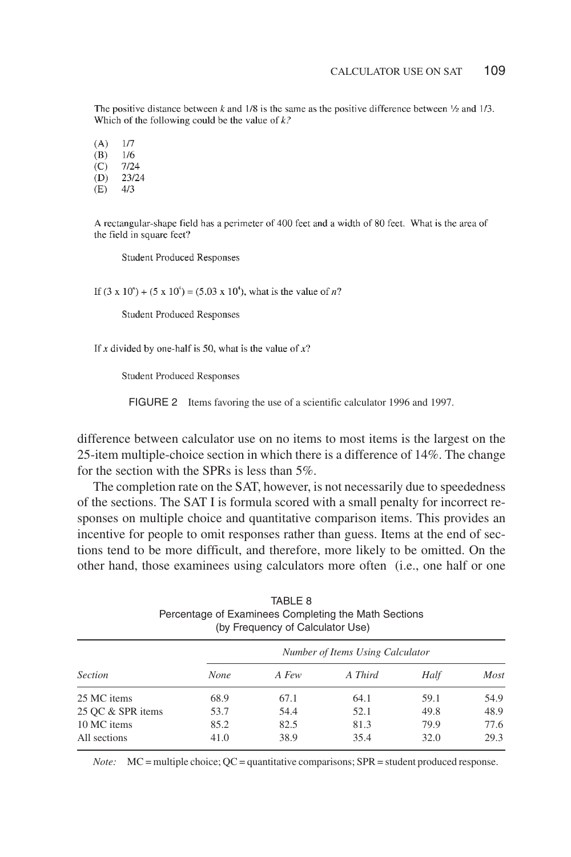The positive distance between k and 1/8 is the same as the positive difference between  $\frac{1}{2}$  and 1/3. Which of the following could be the value of  $k$ ?

 $(A)$  $1/7$  $(B)$  $1/6$  $7/24$  $(C)$  $(D)$ 23/24  $(E)$  $4/3$ 

A rectangular-shape field has a perimeter of 400 feet and a width of 80 feet. What is the area of the field in square feet?

**Student Produced Responses** 

If  $(3 \times 10^n) + (5 \times 10^4) = (5.03 \times 10^4)$ , what is the value of *n*?

**Student Produced Responses** 

If x divided by one-half is 50, what is the value of  $x$ ?

**Student Produced Responses** 

FIGURE 2 Items favoring the use of a scientific calculator 1996 and 1997.

difference between calculator use on no items to most items is the largest on the 25-item multiple-choice section in which there is a difference of 14%. The change for the section with the SPRs is less than 5%.

The completion rate on the SAT, however, is not necessarily due to speededness of the sections. The SAT I is formula scored with a small penalty for incorrect responses on multiple choice and quantitative comparison items. This provides an incentive for people to omit responses rather than guess. Items at the end of sections tend to be more difficult, and therefore, more likely to be omitted. On the other hand, those examinees using calculators more often (i.e., one half or one

| Percentage of Examinees Completing the Math Sections<br>(by Frequency of Calculator Use) |             |                                  |         |      |      |  |  |
|------------------------------------------------------------------------------------------|-------------|----------------------------------|---------|------|------|--|--|
|                                                                                          |             | Number of Items Using Calculator |         |      |      |  |  |
| <b>Section</b>                                                                           | <b>None</b> | A Few                            | A Third | Half | Most |  |  |
| 25 MC items                                                                              | 68.9        | 67.1                             | 64.1    | 59.1 | 54.9 |  |  |
| 25 OC & SPR items                                                                        | 53.7        | 54.4                             | 52.1    | 49.8 | 48.9 |  |  |
| 10 MC items                                                                              | 85.2        | 82.5                             | 81.3    | 79.9 | 77.6 |  |  |
| All sections                                                                             | 41.0        | 38.9                             | 35.4    | 32.0 | 29.3 |  |  |

TABLE 8 Percentage of Examinees Completing the Math Sections

*Note:* MC = multiple choice; QC = quantitative comparisons; SPR = student produced response.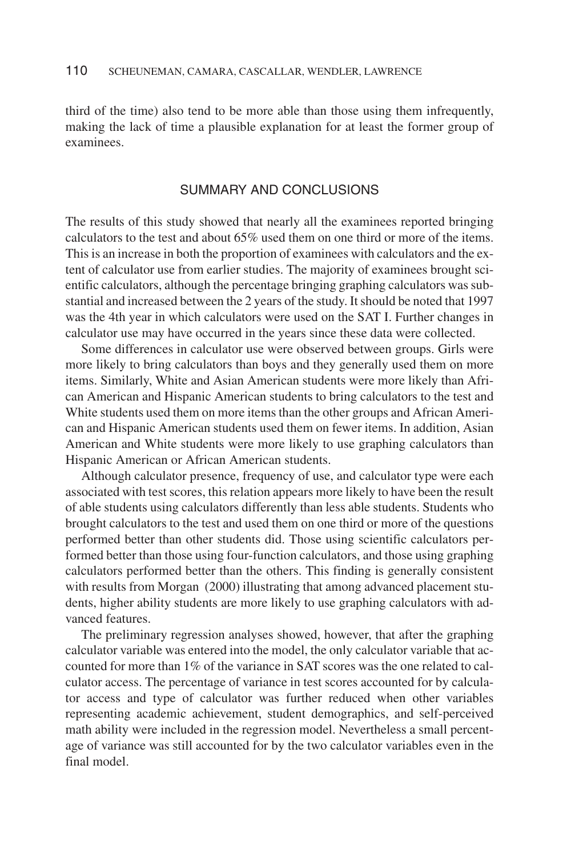third of the time) also tend to be more able than those using them infrequently, making the lack of time a plausible explanation for at least the former group of examinees.

# SUMMARY AND CONCLUSIONS

The results of this study showed that nearly all the examinees reported bringing calculators to the test and about 65% used them on one third or more of the items. This is an increase in both the proportion of examinees with calculators and the extent of calculator use from earlier studies. The majority of examinees brought scientific calculators, although the percentage bringing graphing calculators was substantial and increased between the 2 years of the study. It should be noted that 1997 was the 4th year in which calculators were used on the SAT I. Further changes in calculator use may have occurred in the years since these data were collected.

Some differences in calculator use were observed between groups. Girls were more likely to bring calculators than boys and they generally used them on more items. Similarly, White and Asian American students were more likely than African American and Hispanic American students to bring calculators to the test and White students used them on more items than the other groups and African American and Hispanic American students used them on fewer items. In addition, Asian American and White students were more likely to use graphing calculators than Hispanic American or African American students.

Although calculator presence, frequency of use, and calculator type were each associated with test scores, this relation appears more likely to have been the result of able students using calculators differently than less able students. Students who brought calculators to the test and used them on one third or more of the questions performed better than other students did. Those using scientific calculators performed better than those using four-function calculators, and those using graphing calculators performed better than the others. This finding is generally consistent with results from Morgan (2000) illustrating that among advanced placement students, higher ability students are more likely to use graphing calculators with advanced features.

The preliminary regression analyses showed, however, that after the graphing calculator variable was entered into the model, the only calculator variable that accounted for more than 1% of the variance in SAT scores was the one related to calculator access. The percentage of variance in test scores accounted for by calculator access and type of calculator was further reduced when other variables representing academic achievement, student demographics, and self-perceived math ability were included in the regression model. Nevertheless a small percentage of variance was still accounted for by the two calculator variables even in the final model.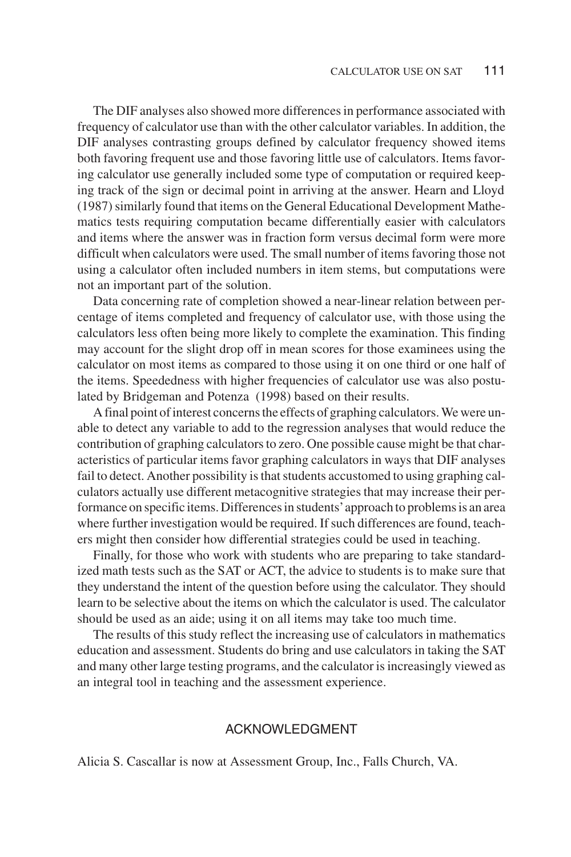The DIF analyses also showed more differences in performance associated with frequency of calculator use than with the other calculator variables. In addition, the DIF analyses contrasting groups defined by calculator frequency showed items both favoring frequent use and those favoring little use of calculators. Items favoring calculator use generally included some type of computation or required keeping track of the sign or decimal point in arriving at the answer. Hearn and Lloyd (1987) similarly found that items on the General Educational Development Mathematics tests requiring computation became differentially easier with calculators and items where the answer was in fraction form versus decimal form were more difficult when calculators were used. The small number of items favoring those not using a calculator often included numbers in item stems, but computations were not an important part of the solution.

Data concerning rate of completion showed a near-linear relation between percentage of items completed and frequency of calculator use, with those using the calculators less often being more likely to complete the examination. This finding may account for the slight drop off in mean scores for those examinees using the calculator on most items as compared to those using it on one third or one half of the items. Speededness with higher frequencies of calculator use was also postulated by Bridgeman and Potenza (1998) based on their results.

A final point of interest concerns the effects of graphing calculators. We were unable to detect any variable to add to the regression analyses that would reduce the contribution of graphing calculators to zero. One possible cause might be that characteristics of particular items favor graphing calculators in ways that DIF analyses fail to detect. Another possibility is that students accustomed to using graphing calculators actually use different metacognitive strategies that may increase their performance on specific items. Differences in students'approach to problems is an area where further investigation would be required. If such differences are found, teachers might then consider how differential strategies could be used in teaching.

Finally, for those who work with students who are preparing to take standardized math tests such as the SAT or ACT, the advice to students is to make sure that they understand the intent of the question before using the calculator. They should learn to be selective about the items on which the calculator is used. The calculator should be used as an aide; using it on all items may take too much time.

The results of this study reflect the increasing use of calculators in mathematics education and assessment. Students do bring and use calculators in taking the SAT and many other large testing programs, and the calculator is increasingly viewed as an integral tool in teaching and the assessment experience.

#### ACKNOWLEDGMENT

Alicia S. Cascallar is now at Assessment Group, Inc., Falls Church, VA.